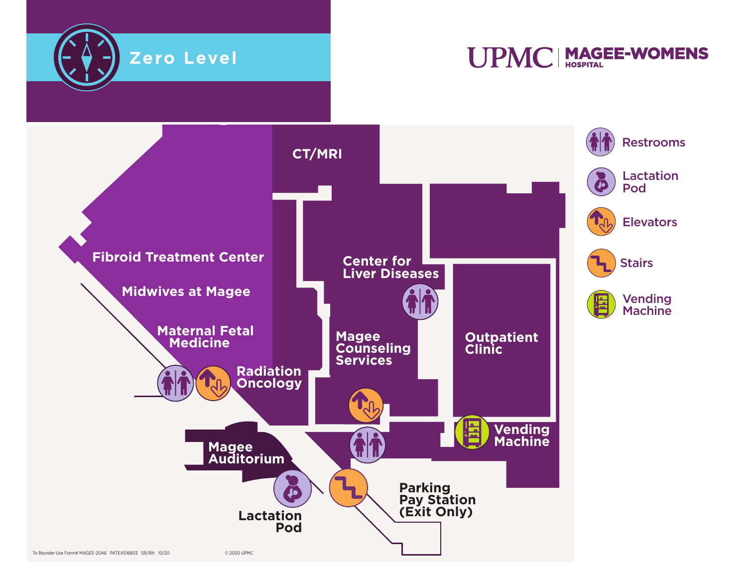

**UPMC | MAGEE-WOMENS** 

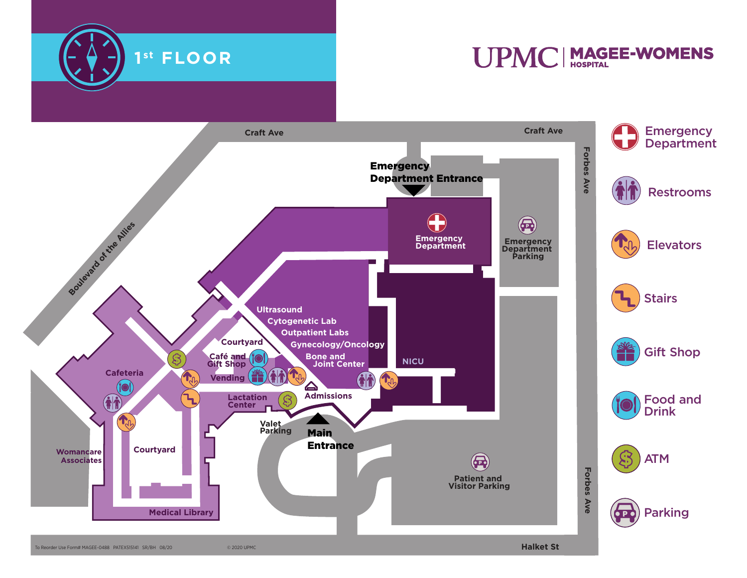

## UPMC | MAGEE-WOMENS

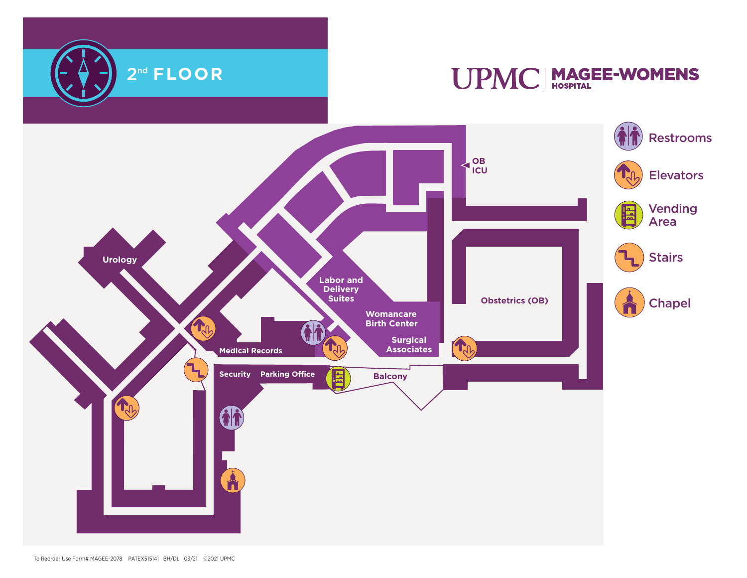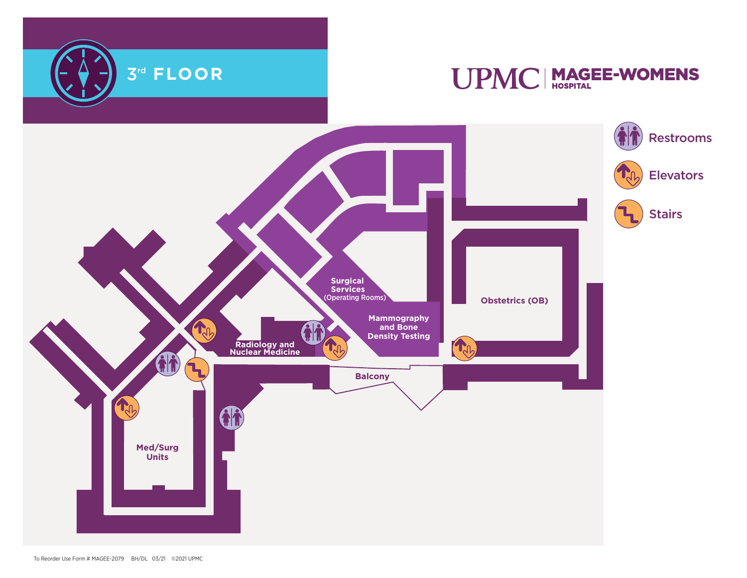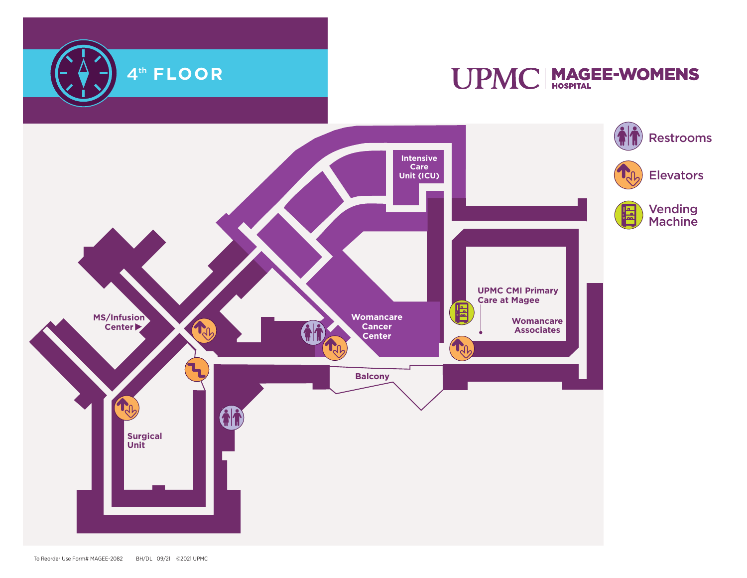